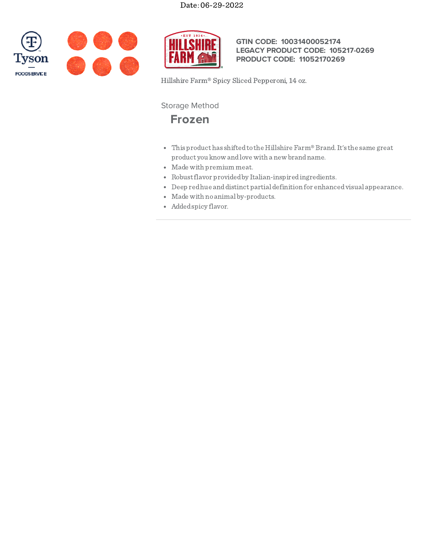



**GTIN CODE: 10031400052174 LEGACY PRODUCT CODE: 105217-0269 PRODUCT CODE: 11052170269**

Hillshire Farm® Spicy Sliced Pepperoni, 14 oz.

Storage Method

**Frozen**

- This product has shiftedto the Hillshire Farm®Brand.It's the same great product you know andlove with a new brandname.
- Made with premium meat.
- Robustflavor providedby Italian-inspiredingredients.
- Deep redhue anddistinct partial definition for enhancedvisual appearance.
- Made with no animal by-products.
- Addedspicy flavor.